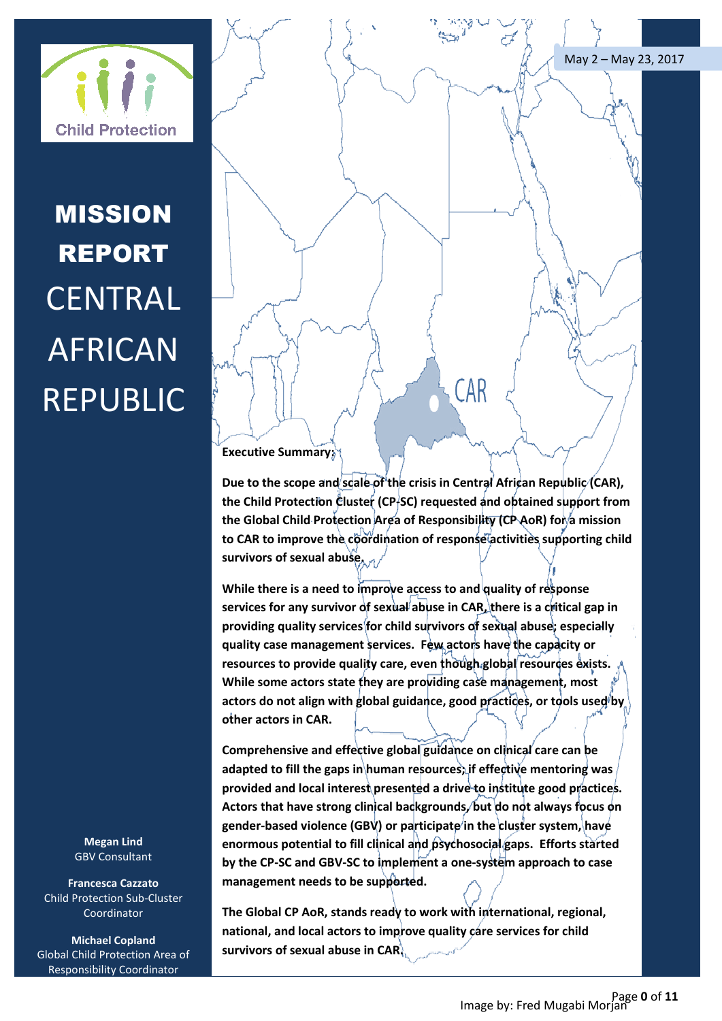



# MISSION REPORT **CENTRAL** AFRICAN REPUBLIC

**Megan Lind** GBV Consultant

**Francesca Cazzato** Child Protection Sub-Cluster Coordinator

**Michael Copland** Global Child Protection Area of Responsibility Coordinator

#### **Executive Summary:**

**Due to the scope and scale of the crisis in Central African Republic (CAR), the Child Protection Cluster (CP-SC) requested and obtained support from the Global Child Protection Area of Responsibility (CP AoR) for a mission**  to CAR to improve the coordination of response activities supporting child **survivors of sexual abuse.**

Child Protection<br> **Child Protection**<br> **CEPUBLIC**<br> **CEPUBLIC**<br> **CEPUBLIC**<br> **CEPUBLIC**<br> **CEPUBLIC**<br> **CEPUBLIC**<br> **CEPUBLIC**<br> **CEPUBLIC**<br> **CEPUBLIC**<br> **CEPUBLIC**<br> **CEPUBLIC**<br> **CEPUBLIC**<br> **CEPUBLIC**<br> **CEPUBLIC**<br> **CEPUBLIC**<br> **CEP While there is a need to improve access to and quality of response**  services for any survivor of sexual abuse in CAR, there is a critical gap in **providing quality services for child survivors of sexual abuse; especially quality case management services. Few actors have the capacity or**  resources to provide quality care, even though global resources exists. **While some actors state they are providing case management, most**  actors do not align with global guidance, good practices, or tools used by **other actors in CAR.**

**Comprehensive and effective global guidance on clinical care can be adapted to fill the gaps in human resources; if effective mentoring was provided and local interest presented a drive to institute good practices. Actors that have strong clinical backgrounds, but do not always focus on gender-based violence (GBV) or participate in the cluster system, have enormous potential to fill clinical and psychosocial gaps. Efforts started by the CP-SC and GBV-SC to implement a one-system approach to case management needs to be supported.**

**The Global CP AoR, stands ready to work with international, regional,**  national, and local actors to improve quality care services for child **survivors of sexual abuse in CAR.**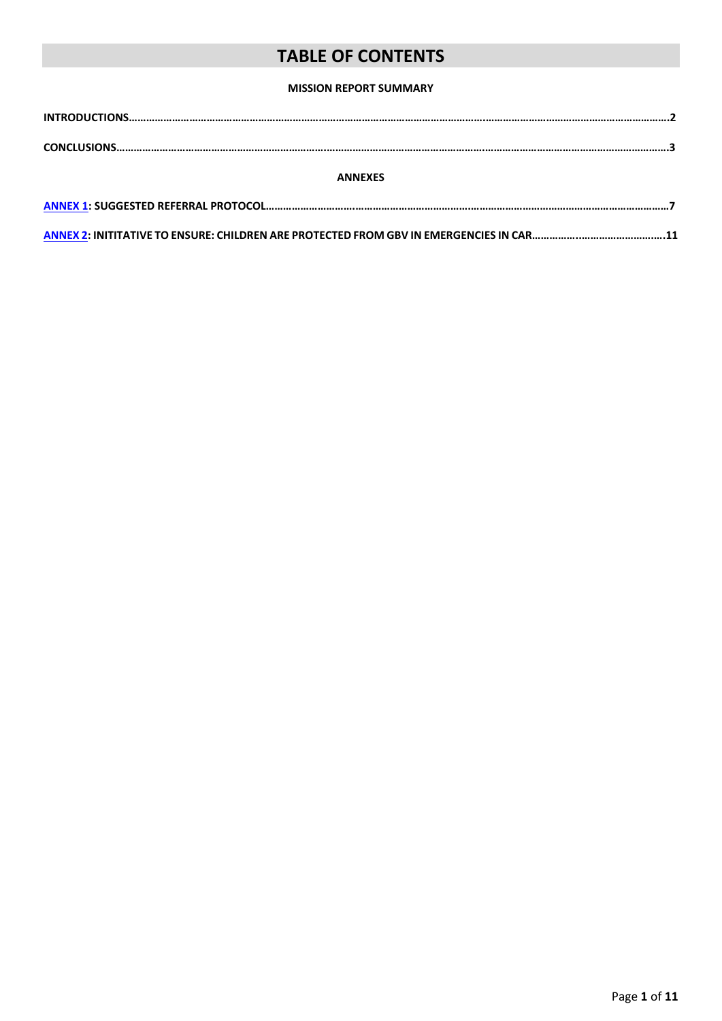## **TABLE OF CONTENTS**

#### **MISSION REPORT SUMMARY**

| <b>ANNEXES</b> |  |  |  |
|----------------|--|--|--|
|                |  |  |  |

**[ANNEX 2:](#page-11-0) INITITATIVE TO ENSURE: CHILDREN ARE PROTECTED FROM GBV IN EMERGENCIES IN CAR……………..…………………….….11**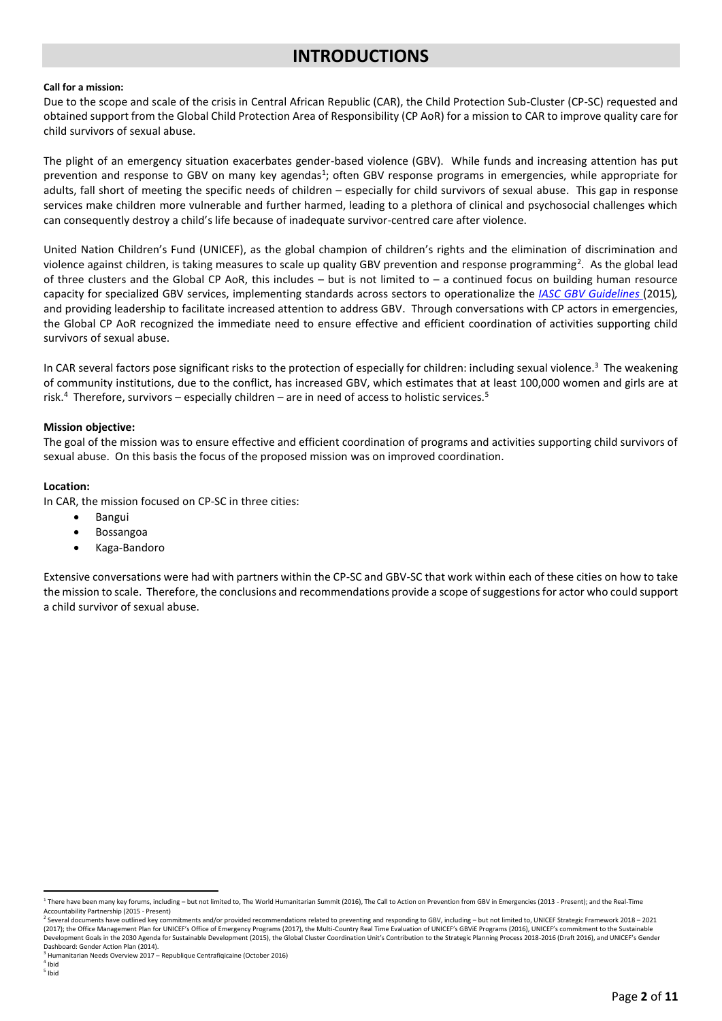## **INTRODUCTIONS**

#### **Call for a mission:**

Due to the scope and scale of the crisis in Central African Republic (CAR), the Child Protection Sub-Cluster (CP-SC) requested and obtained support from the Global Child Protection Area of Responsibility (CP AoR) for a mission to CAR to improve quality care for child survivors of sexual abuse.

The plight of an emergency situation exacerbates gender-based violence (GBV). While funds and increasing attention has put prevention and response to GBV on many key agendas<sup>1</sup>; often GBV response programs in emergencies, while appropriate for adults, fall short of meeting the specific needs of children – especially for child survivors of sexual abuse. This gap in response services make children more vulnerable and further harmed, leading to a plethora of clinical and psychosocial challenges which can consequently destroy a child's life because of inadequate survivor-centred care after violence.

United Nation Children's Fund (UNICEF), as the global champion of children's rights and the elimination of discrimination and violence against children, is taking measures to scale up quality GBV prevention and response programming<sup>2</sup>. As the global lead of three clusters and the Global CP AoR, this includes  $-$  but is not limited to  $-$  a continued focus on building human resource capacity for specialized GBV services, implementing standards across sectors to operationalize the *[IASC GBV Guidelines](http://www.gbvguidelines.com/)* (2015)*,*  and providing leadership to facilitate increased attention to address GBV. Through conversations with CP actors in emergencies, the Global CP AoR recognized the immediate need to ensure effective and efficient coordination of activities supporting child survivors of sexual abuse.

In CAR several factors pose significant risks to the protection of especially for children: including sexual violence.<sup>3</sup> The weakening of community institutions, due to the conflict, has increased GBV, which estimates that at least 100,000 women and girls are at risk.<sup>4</sup> Therefore, survivors – especially children – are in need of access to holistic services.<sup>5</sup>

#### **Mission objective:**

The goal of the mission was to ensure effective and efficient coordination of programs and activities supporting child survivors of sexual abuse. On this basis the focus of the proposed mission was on improved coordination.

#### **Location:**

In CAR, the mission focused on CP-SC in three cities:

- Bangui
- Bossangoa
- Kaga-Bandoro

Extensive conversations were had with partners within the CP-SC and GBV-SC that work within each of these cities on how to take the mission to scale. Therefore, the conclusions and recommendations provide a scope of suggestions for actor who could support a child survivor of sexual abuse.

**.** 

<sup>&</sup>lt;sup>1</sup> There have been many key forums, including – but not limited to, The World Humanitarian Summit (2016), The Call to Action on Prevention from GBV in Emergencies (2013 - Present); and the Real-Time Accountability Partnership (2015 - Present)<br><sup>2</sup> Soveral documents have outlined key som

Several documents have outlined key commitments and/or provided recommendations related to preventing and responding to GBV, including – but not limited to, UNICEF Strategic Framework 2018 – 2021 (2017); the Office Management Plan for UNICEF's Office of Emergency Programs (2017), the Multi-Country Real Time Evaluation of UNICEF's GBViE Programs (2016), UNICEF's commitment to the Sustainable Development Goals in the 2030 Agenda for Sustainable Development (2015), the Global Cluster Coordination Unit's Contribution to the Strategic Planning Process 2018-2016 (Draft 2016), and UNICEF's Gender Dashboard: Gender Action Plan (2014).

<sup>3</sup> Humanitarian Needs Overview 2017 – Republique Centrafiqicaine (October 2016)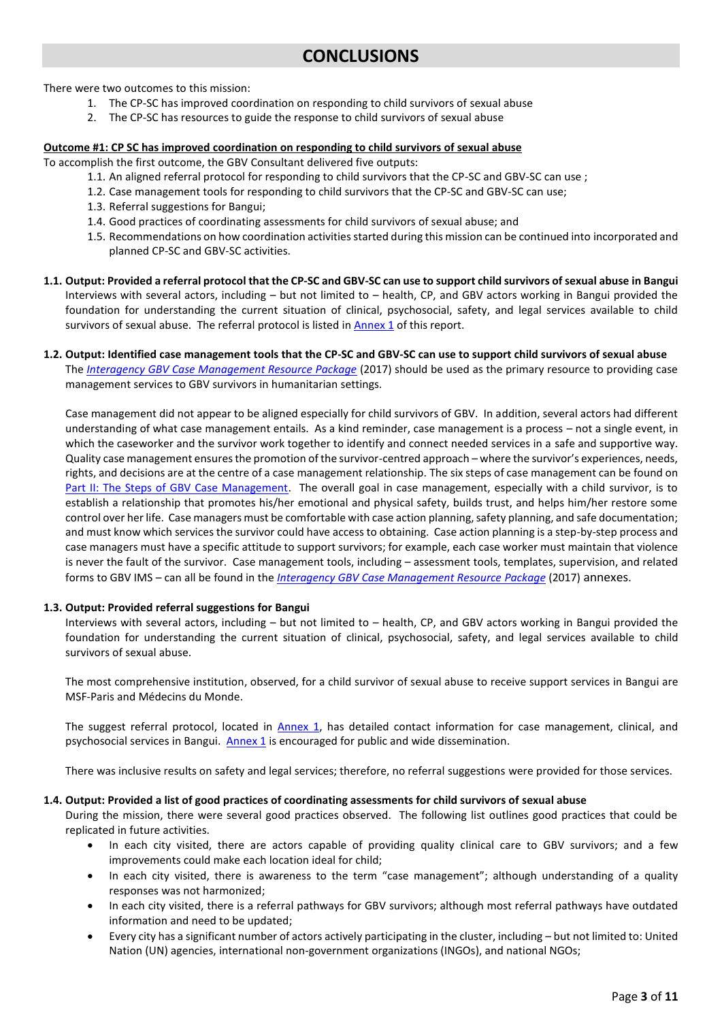There were two outcomes to this mission:

- 1. The CP-SC has improved coordination on responding to child survivors of sexual abuse
- 2. The CP-SC has resources to guide the response to child survivors of sexual abuse

#### **Outcome #1: CP SC has improved coordination on responding to child survivors of sexual abuse**

To accomplish the first outcome, the GBV Consultant delivered five outputs:

- 1.1. An aligned referral protocol for responding to child survivors that the CP-SC and GBV-SC can use ;
- 1.2. Case management tools for responding to child survivors that the CP-SC and GBV-SC can use;
- 1.3. Referral suggestions for Bangui;
- 1.4. Good practices of coordinating assessments for child survivors of sexual abuse; and
- 1.5. Recommendations on how coordination activities started during this mission can be continued into incorporated and planned CP-SC and GBV-SC activities.
- **1.1. Output: Provided a referral protocol that the CP-SC and GBV-SC can use to support child survivors of sexual abuse in Bangui** Interviews with several actors, including – but not limited to – health, CP, and GBV actors working in Bangui provided the foundation for understanding the current situation of clinical, psychosocial, safety, and legal services available to child survivors of sexual abuse. The referral protocol is listed in **Annex 1** of this report.

#### **1.2. Output: Identified case management tools that the CP-SC and GBV-SC can use to support child survivors of sexual abuse** The *Interagency [GBV Case Management Resource Package](https://gbvresponders.org/response/gbv-case-management/)* (2017) should be used as the primary resource to providing case management services to GBV survivors in humanitarian settings.

Case management did not appear to be aligned especially for child survivors of GBV. In addition, several actors had different understanding of what case management entails. As a kind reminder, case management is a process – not a single event, in which the caseworker and the survivor work together to identify and connect needed services in a safe and supportive way. Quality case management ensures the promotion of the survivor-centred approach – where the survivor's experiences, needs, rights, and decisions are at the centre of a case management relationship. The six steps of case management can be found on [Part II: The Steps of GBV Case Management.](https://gbvresponders.org/response/gbv-case-management/) The overall goal in case management, especially with a child survivor, is to establish a relationship that promotes his/her emotional and physical safety, builds trust, and helps him/her restore some control over her life. Case managers must be comfortable with case action planning, safety planning, and safe documentation; and must know which services the survivor could have access to obtaining. Case action planning is a step-by-step process and case managers must have a specific attitude to support survivors; for example, each case worker must maintain that violence is never the fault of the survivor. Case management tools, including – assessment tools, templates, supervision, and related forms to GBV IMS – can all be found in the *[Interagency GBV Case Management Resource Package](https://gbvresponders.org/response/gbv-case-management/)* (2017) annexes.

#### **1.3. Output: Provided referral suggestions for Bangui**

Interviews with several actors, including – but not limited to – health, CP, and GBV actors working in Bangui provided the foundation for understanding the current situation of clinical, psychosocial, safety, and legal services available to child survivors of sexual abuse.

The most comprehensive institution, observed, for a child survivor of sexual abuse to receive support services in Bangui are MSF-Paris and Médecins du Monde.

The suggest referral protocol, located in [Annex 1,](#page-7-0) has detailed contact information for case management, clinical, and psychosocial services in Bangui. [Annex 1](#page-7-0) is encouraged for public and wide dissemination.

There was inclusive results on safety and legal services; therefore, no referral suggestions were provided for those services.

#### **1.4. Output: Provided a list of good practices of coordinating assessments for child survivors of sexual abuse**

During the mission, there were several good practices observed. The following list outlines good practices that could be replicated in future activities.

- In each city visited, there are actors capable of providing quality clinical care to GBV survivors; and a few improvements could make each location ideal for child;
- In each city visited, there is awareness to the term "case management"; although understanding of a quality responses was not harmonized;
- In each city visited, there is a referral pathways for GBV survivors; although most referral pathways have outdated information and need to be updated;
- Every city has a significant number of actors actively participating in the cluster, including but not limited to: United Nation (UN) agencies, international non-government organizations (INGOs), and national NGOs;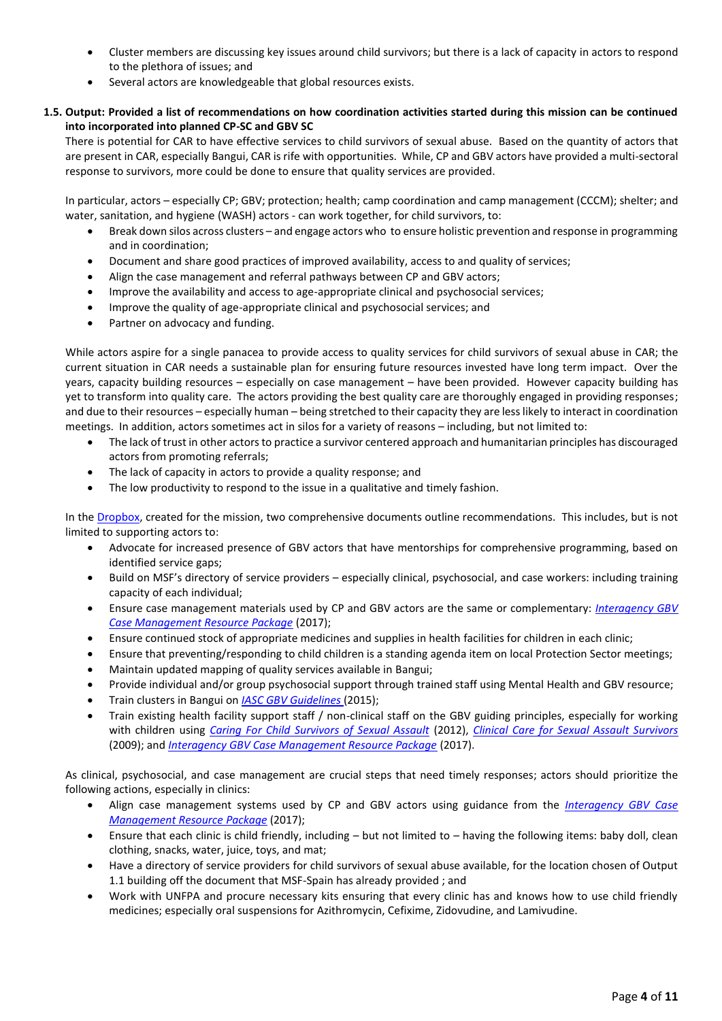- Cluster members are discussing key issues around child survivors; but there is a lack of capacity in actors to respond to the plethora of issues; and
- Several actors are knowledgeable that global resources exists.

#### **1.5. Output: Provided a list of recommendations on how coordination activities started during this mission can be continued into incorporated into planned CP-SC and GBV SC**

There is potential for CAR to have effective services to child survivors of sexual abuse. Based on the quantity of actors that are present in CAR, especially Bangui, CAR is rife with opportunities. While, CP and GBV actors have provided a multi-sectoral response to survivors, more could be done to ensure that quality services are provided.

In particular, actors – especially CP; GBV; protection; health; camp coordination and camp management (CCCM); shelter; and water, sanitation, and hygiene (WASH) actors - can work together, for child survivors, to:

- Break down silos across clusters and engage actors who to ensure holistic prevention and response in programming and in coordination;
- Document and share good practices of improved availability, access to and quality of services;
- Align the case management and referral pathways between CP and GBV actors;
- Improve the availability and access to age-appropriate clinical and psychosocial services;
- Improve the quality of age-appropriate clinical and psychosocial services; and
- Partner on advocacy and funding.

While actors aspire for a single panacea to provide access to quality services for child survivors of sexual abuse in CAR; the current situation in CAR needs a sustainable plan for ensuring future resources invested have long term impact. Over the years, capacity building resources – especially on case management – have been provided. However capacity building has yet to transform into quality care. The actors providing the best quality care are thoroughly engaged in providing responses; and due to their resources – especially human – being stretched to their capacity they are less likely to interact in coordination meetings. In addition, actors sometimes act in silos for a variety of reasons – including, but not limited to:

- The lack of trust in other actors to practice a survivor centered approach and humanitarian principles has discouraged actors from promoting referrals;
- The lack of capacity in actors to provide a quality response; and
- The low productivity to respond to the issue in a qualitative and timely fashion.

In the [Dropbox,](https://www.dropbox.com/sh/c5fnc489h6kaklz/AADDSoO8hAU709tfN8gIyUjza?dl=0) created for the mission, two comprehensive documents outline recommendations. This includes, but is not limited to supporting actors to:

- Advocate for increased presence of GBV actors that have mentorships for comprehensive programming, based on identified service gaps;
- Build on MSF's directory of service providers especially clinical, psychosocial, and case workers: including training capacity of each individual;
- Ensure case management materials used by CP and GBV actors are the same or complementary: *[Interagency GBV](https://gbvresponders.org/response/gbv-case-management/)  [Case Management Resource Package](https://gbvresponders.org/response/gbv-case-management/)* (2017);
- Ensure continued stock of appropriate medicines and supplies in health facilities for children in each clinic;
- Ensure that preventing/responding to child children is a standing agenda item on local Protection Sector meetings;
- Maintain updated mapping of quality services available in Bangui;
- Provide individual and/or group psychosocial support through trained staff using Mental Health and GBV resource;
- Train clusters in Bangui on *[IASC GBV Guidelines](http://www.gbvguidelines.com/)* (2015);
- Train existing health facility support staff / non-clinical staff on the GBV guiding principles, especially for working with children using *[Caring For Child Survivors of Sexual Assault](http://gbvresponders.org/resources/)* (2012), *[Clinical Care for Sexual Assault Survivors](http://gbvresponders.org/resources/)* (2009); and *[Interagency GBV Case Management Resource Package](https://gbvresponders.org/response/gbv-case-management/)* (2017).

As clinical, psychosocial, and case management are crucial steps that need timely responses; actors should prioritize the following actions, especially in clinics:

- Align case management systems used by CP and GBV actors using guidance from the *[Interagency GBV Case](https://gbvresponders.org/response/gbv-case-management/)  [Management Resource Package](https://gbvresponders.org/response/gbv-case-management/)* (2017);
- Ensure that each clinic is child friendly, including but not limited to having the following items: baby doll, clean clothing, snacks, water, juice, toys, and mat;
- Have a directory of service providers for child survivors of sexual abuse available, for the location chosen of Output 1.1 building off the document that MSF-Spain has already provided ; and
- Work with UNFPA and procure necessary kits ensuring that every clinic has and knows how to use child friendly medicines; especially oral suspensions for Azithromycin, Cefixime, Zidovudine, and Lamivudine.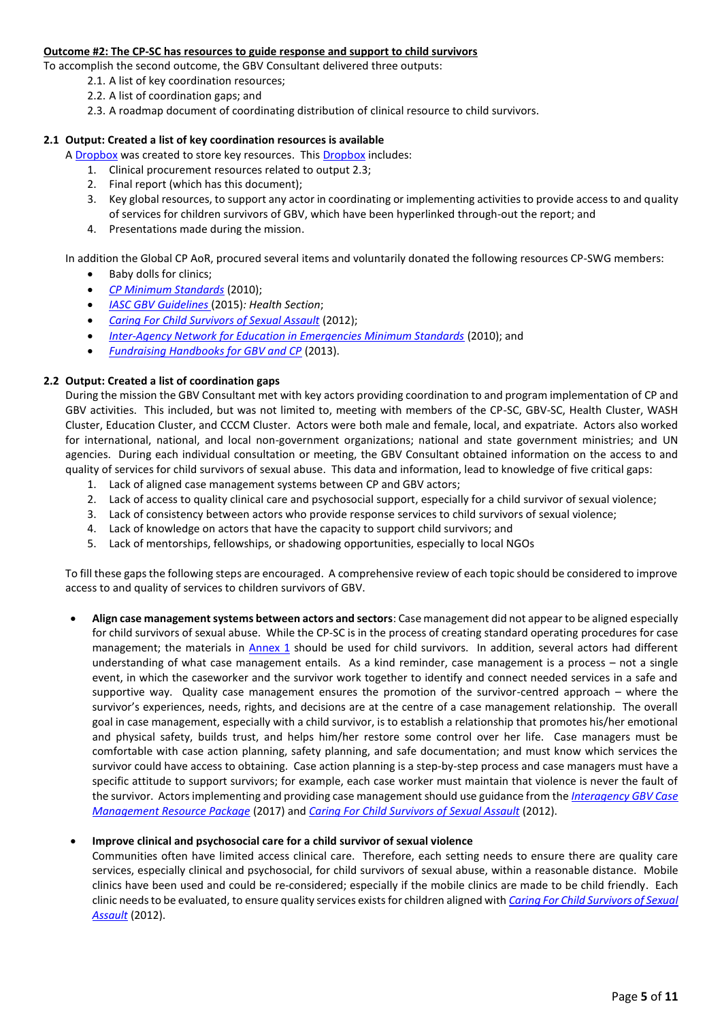#### **Outcome #2: The CP-SC has resources to guide response and support to child survivors**

To accomplish the second outcome, the GBV Consultant delivered three outputs:

- 2.1. A list of key coordination resources;
- 2.2. A list of coordination gaps; and
- 2.3. A roadmap document of coordinating distribution of clinical resource to child survivors.

#### **2.1 Output: Created a list of key coordination resources is available**

A [Dropbox](https://www.dropbox.com/sh/c5fnc489h6kaklz/AADDSoO8hAU709tfN8gIyUjza?dl=0) was created to store key resources. This [Dropbox](https://www.dropbox.com/sh/c5fnc489h6kaklz/AADDSoO8hAU709tfN8gIyUjza?dl=0) includes:

- 1. Clinical procurement resources related to output 2.3;
- 2. Final report (which has this document);
- 3. Key global resources, to support any actor in coordinating or implementing activities to provide access to and quality of services for children survivors of GBV, which have been hyperlinked through-out the report; and
- 4. Presentations made during the mission.

In addition the Global CP AoR, procured several items and voluntarily donated the following resources CP-SWG members:

- Baby dolls for clinics;
- *[CP Minimum Standards](http://cpwg.net/minimum-standards/)* (2010);
- *[IASC GBV Guidelines](http://www.gbvguidelines.com/)* (2015)*: Health Section*;
- *[Caring For Child Survivors of Sexual Assault](http://gbvresponders.org/resources/)* (2012);
- *[Inter-Agency Network for Education in Emergencies Minimum Standards](http://www.ineesite.org/en/minimum-standards)* (2010); and
- *[Fundraising Handbooks for GBV and CP](http://cpwg.net/starter_pack/fundraising-handbook-cp-gbv-humanitarian-action/)* (2013).

#### **2.2 Output: Created a list of coordination gaps**

During the mission the GBV Consultant met with key actors providing coordination to and program implementation of CP and GBV activities. This included, but was not limited to, meeting with members of the CP-SC, GBV-SC, Health Cluster, WASH Cluster, Education Cluster, and CCCM Cluster. Actors were both male and female, local, and expatriate. Actors also worked for international, national, and local non-government organizations; national and state government ministries; and UN agencies. During each individual consultation or meeting, the GBV Consultant obtained information on the access to and quality of services for child survivors of sexual abuse. This data and information, lead to knowledge of five critical gaps:

- 1. Lack of aligned case management systems between CP and GBV actors;
- 2. Lack of access to quality clinical care and psychosocial support, especially for a child survivor of sexual violence;
- 3. Lack of consistency between actors who provide response services to child survivors of sexual violence;
- 4. Lack of knowledge on actors that have the capacity to support child survivors; and
- 5. Lack of mentorships, fellowships, or shadowing opportunities, especially to local NGOs

To fill these gaps the following steps are encouraged. A comprehensive review of each topic should be considered to improve access to and quality of services to children survivors of GBV.

 **Align case management systems between actors and sectors**: Case management did not appear to be aligned especially for child survivors of sexual abuse. While the CP-SC is in the process of creating standard operating procedures for case management; the materials in [Annex 1](#page-7-0) should be used for child survivors. In addition, several actors had different understanding of what case management entails. As a kind reminder, case management is a process – not a single event, in which the caseworker and the survivor work together to identify and connect needed services in a safe and supportive way. Quality case management ensures the promotion of the survivor-centred approach – where the survivor's experiences, needs, rights, and decisions are at the centre of a case management relationship. The overall goal in case management, especially with a child survivor, is to establish a relationship that promotes his/her emotional and physical safety, builds trust, and helps him/her restore some control over her life. Case managers must be comfortable with case action planning, safety planning, and safe documentation; and must know which services the survivor could have access to obtaining. Case action planning is a step-by-step process and case managers must have a specific attitude to support survivors; for example, each case worker must maintain that violence is never the fault of the survivor. Actors implementing and providing case management should use guidance from the *[Interagency GBV Case](https://gbvresponders.org/response/gbv-case-management/)  [Management Resource Package](https://gbvresponders.org/response/gbv-case-management/)* (2017) and *[Caring For Child Survivors of Sexual Assault](http://gbvresponders.org/resources/)* (2012).

#### **Improve clinical and psychosocial care for a child survivor of sexual violence**

Communities often have limited access clinical care. Therefore, each setting needs to ensure there are quality care services, especially clinical and psychosocial, for child survivors of sexual abuse, within a reasonable distance. Mobile clinics have been used and could be re-considered; especially if the mobile clinics are made to be child friendly. Each clinic needs to be evaluated, to ensure quality services exists for children aligned with *[Caring For Child Survivors of Sexual](http://gbvresponders.org/resources/)  [Assault](http://gbvresponders.org/resources/)* (2012).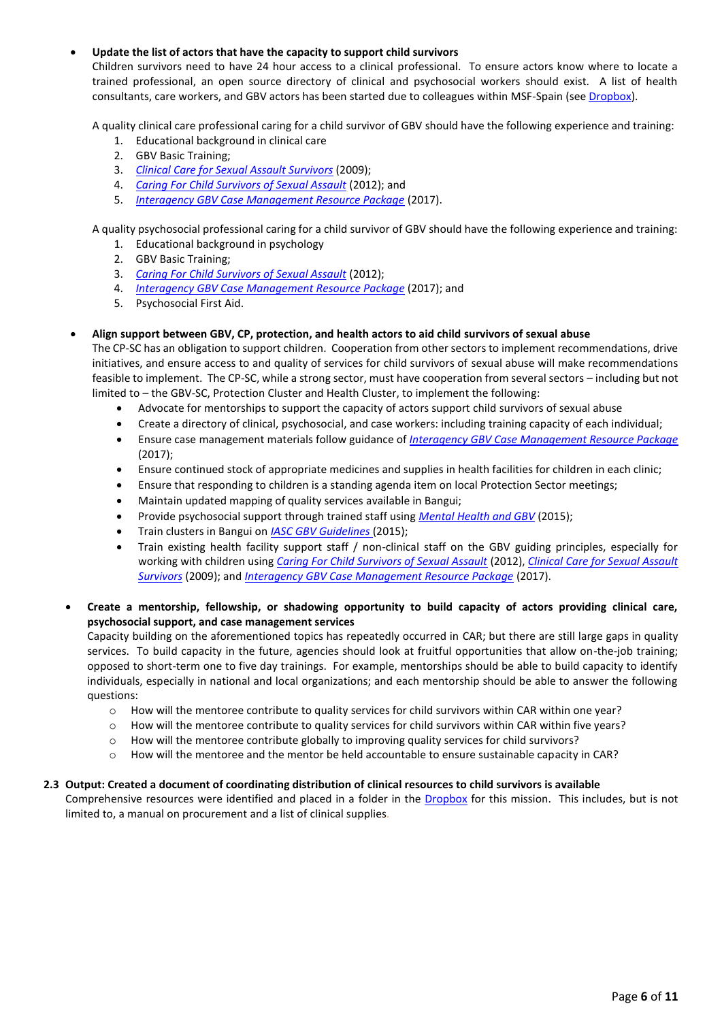#### **Update the list of actors that have the capacity to support child survivors**

Children survivors need to have 24 hour access to a clinical professional. To ensure actors know where to locate a trained professional, an open source directory of clinical and psychosocial workers should exist. A list of health consultants, care workers, and GBV actors has been started due to colleagues within MSF-Spain (se[e Dropbox\)](https://www.dropbox.com/sh/c5fnc489h6kaklz/AADDSoO8hAU709tfN8gIyUjza?dl=0).

A quality clinical care professional caring for a child survivor of GBV should have the following experience and training:

- 1. Educational background in clinical care
- 2. GBV Basic Training;
- 3. *[Clinical Care for Sexual Assault Survivors](http://gbvresponders.org/resources/)* (2009);
- 4. *[Caring For Child Survivors of Sexual Assault](http://gbvresponders.org/resources/)* (2012); and
- 5. *[Interagency GBV Case Management Resource Package](https://gbvresponders.org/response/gbv-case-management/)* (2017).

A quality psychosocial professional caring for a child survivor of GBV should have the following experience and training:

- 1. Educational background in psychology
- 2. GBV Basic Training;
- 3. *[Caring For Child Survivors of Sexual Assault](http://gbvresponders.org/resources/)* (2012);
- 4. *[Interagency GBV Case Management Resource Package](https://gbvresponders.org/response/gbv-case-management/)* (2017); and
- 5. Psychosocial First Aid.

#### **Align support between GBV, CP, protection, and health actors to aid child survivors of sexual abuse**

The CP-SC has an obligation to support children. Cooperation from other sectors to implement recommendations, drive initiatives, and ensure access to and quality of services for child survivors of sexual abuse will make recommendations feasible to implement. The CP-SC, while a strong sector, must have cooperation from several sectors – including but not limited to – the GBV-SC, Protection Cluster and Health Cluster, to implement the following:

- Advocate for mentorships to support the capacity of actors support child survivors of sexual abuse
- Create a directory of clinical, psychosocial, and case workers: including training capacity of each individual;
- Ensure case management materials follow guidance of *[Interagency GBV Case Management Resource Package](https://gbvresponders.org/response/gbv-case-management/)* (2017);
- Ensure continued stock of appropriate medicines and supplies in health facilities for children in each clinic;
- Ensure that responding to children is a standing agenda item on local Protection Sector meetings;
- Maintain updated mapping of quality services available in Bangui;
- Provide psychosocial support through trained staff using *[Mental Health and GBV](http://www.hhri-gbv-manual.org/)* (2015);
- Train clusters in Bangui on *[IASC GBV Guidelines](http://www.gbvguidelines.com/)* (2015);
- Train existing health facility support staff / non-clinical staff on the GBV guiding principles, especially for working with children using *[Caring For Child Survivors of Sexual Assault](http://gbvresponders.org/resources/)* (2012), *[Clinical Care for Sexual Assault](http://gbvresponders.org/resources/)  [Survivors](http://gbvresponders.org/resources/)* (2009); and *[Interagency GBV Case Management Resource Package](https://gbvresponders.org/response/gbv-case-management/)* (2017).
- **Create a mentorship, fellowship, or shadowing opportunity to build capacity of actors providing clinical care, psychosocial support, and case management services**

Capacity building on the aforementioned topics has repeatedly occurred in CAR; but there are still large gaps in quality services. To build capacity in the future, agencies should look at fruitful opportunities that allow on-the-job training; opposed to short-term one to five day trainings. For example, mentorships should be able to build capacity to identify individuals, especially in national and local organizations; and each mentorship should be able to answer the following questions:

- o How will the mentoree contribute to quality services for child survivors within CAR within one year?
- o How will the mentoree contribute to quality services for child survivors within CAR within five years?
- o How will the mentoree contribute globally to improving quality services for child survivors?
- $\circ$  How will the mentoree and the mentor be held accountable to ensure sustainable capacity in CAR?

#### **2.3 Output: Created a document of coordinating distribution of clinical resources to child survivors is available**

Comprehensive resources were identified and placed in a folder in the [Dropbox](https://www.dropbox.com/sh/c5fnc489h6kaklz/AADDSoO8hAU709tfN8gIyUjza?dl=0) for this mission. This includes, but is not limited to, a manual on procurement and a list of clinical supplies.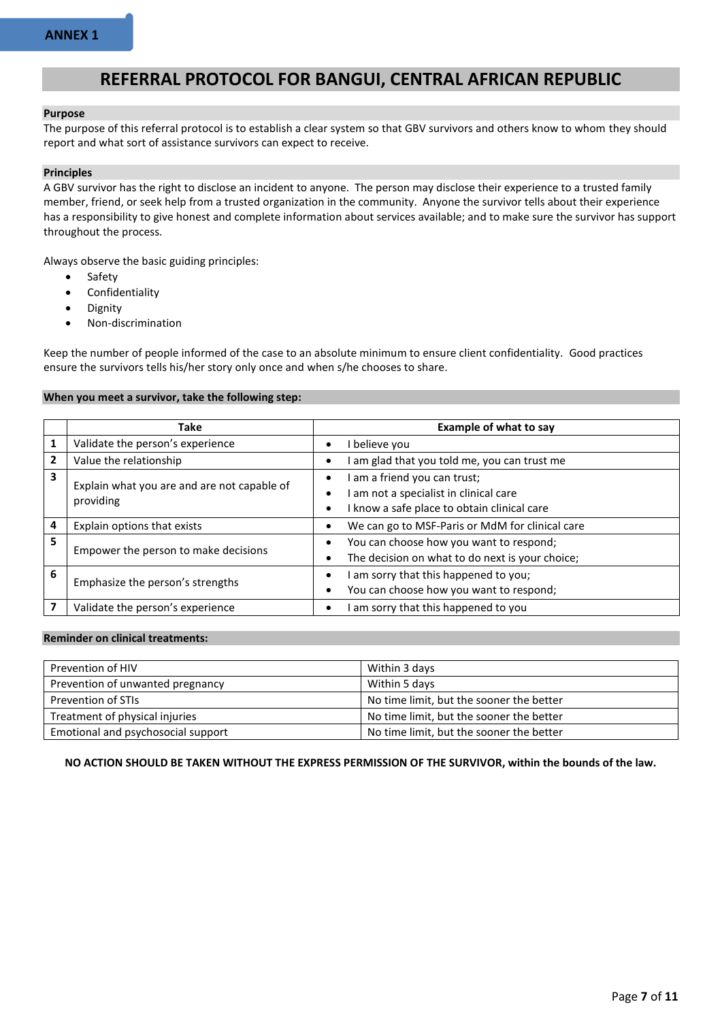### <span id="page-7-0"></span>**REFERRAL PROTOCOL FOR BANGUI, CENTRAL AFRICAN REPUBLIC**

#### **Purpose**

The purpose of this referral protocol is to establish a clear system so that GBV survivors and others know to whom they should report and what sort of assistance survivors can expect to receive.

#### **Principles**

A GBV survivor has the right to disclose an incident to anyone. The person may disclose their experience to a trusted family member, friend, or seek help from a trusted organization in the community. Anyone the survivor tells about their experience has a responsibility to give honest and complete information about services available; and to make sure the survivor has support throughout the process.

Always observe the basic guiding principles:

- Safety
- Confidentiality
- Dignity
- Non-discrimination

Keep the number of people informed of the case to an absolute minimum to ensure client confidentiality. Good practices ensure the survivors tells his/her story only once and when s/he chooses to share.

#### **When you meet a survivor, take the following step:**

|   | <b>Take</b>                                              | <b>Example of what to say</b>                                                                                               |  |  |  |
|---|----------------------------------------------------------|-----------------------------------------------------------------------------------------------------------------------------|--|--|--|
| 1 | Validate the person's experience                         | believe you<br>٠                                                                                                            |  |  |  |
| 2 | Value the relationship                                   | am glad that you told me, you can trust me                                                                                  |  |  |  |
| 3 | Explain what you are and are not capable of<br>providing | am a friend you can trust;<br>٠<br>I am not a specialist in clinical care<br>٠<br>know a safe place to obtain clinical care |  |  |  |
| 4 | Explain options that exists                              | We can go to MSF-Paris or MdM for clinical care                                                                             |  |  |  |
| 5 | Empower the person to make decisions                     | You can choose how you want to respond;<br>The decision on what to do next is your choice;<br>$\bullet$                     |  |  |  |
| 6 | Emphasize the person's strengths                         | am sorry that this happened to you;<br>You can choose how you want to respond;<br>$\bullet$                                 |  |  |  |
|   | Validate the person's experience                         | am sorry that this happened to you<br>٠                                                                                     |  |  |  |

#### **Reminder on clinical treatments:**

| Prevention of HIV                  | Within 3 days                            |
|------------------------------------|------------------------------------------|
|                                    |                                          |
| Prevention of unwanted pregnancy   | Within 5 days                            |
|                                    |                                          |
| Prevention of STIs                 | No time limit, but the sooner the better |
| Treatment of physical injuries     | No time limit, but the sooner the better |
|                                    |                                          |
| Emotional and psychosocial support | No time limit, but the sooner the better |
|                                    |                                          |

**NO ACTION SHOULD BE TAKEN WITHOUT THE EXPRESS PERMISSION OF THE SURVIVOR, within the bounds of the law.**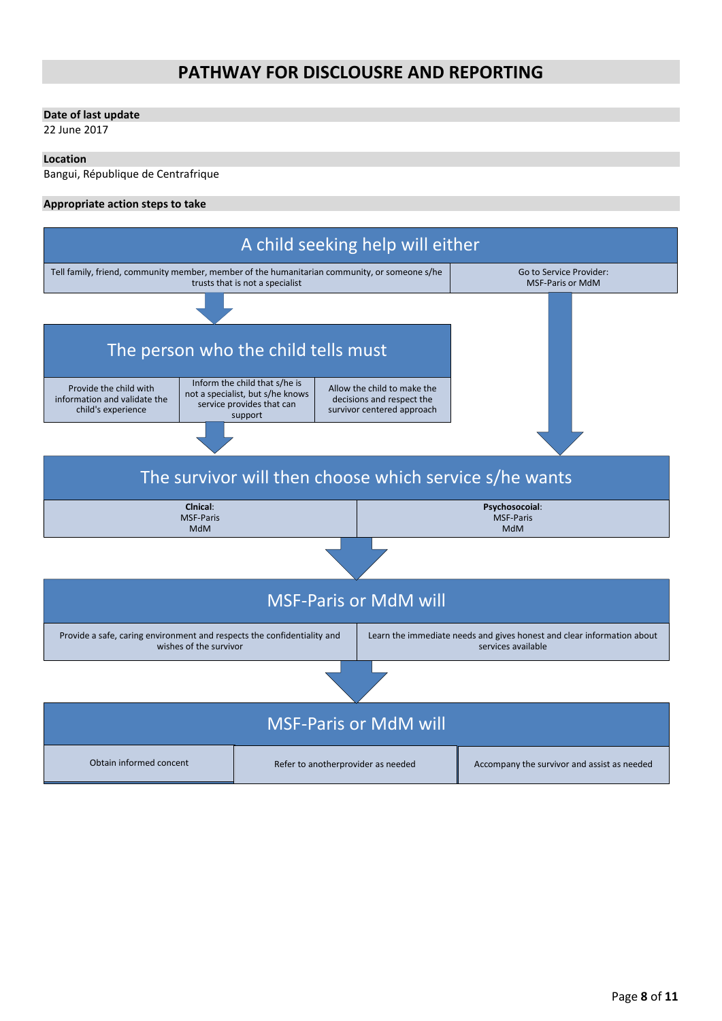## **PATHWAY FOR DISCLOUSRE AND REPORTING**

#### **Date of last update**

22 June 2017

#### **Location**

Bangui, République de Centrafrique

#### **Appropriate action steps to take**

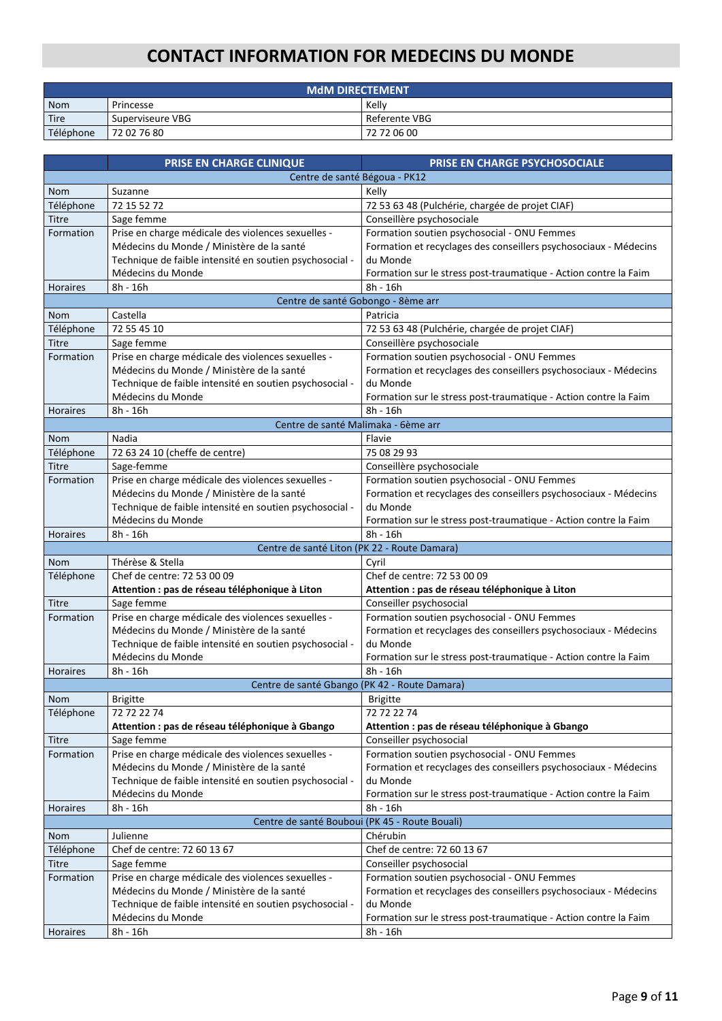# **CONTACT INFORMATION FOR MEDECINS DU MONDE**

| <b>MdM DIRECTEMENT</b> |                  |               |  |
|------------------------|------------------|---------------|--|
| <b>Nom</b>             | Princesse        | Kelly         |  |
| Tire                   | Superviseure VBG | Referente VBG |  |
| Téléphone              | 72 02 76 80      | 72 72 06 00   |  |

|                                                         | PRISE EN CHARGE CLINIQUE                                     | PRISE EN CHARGE PSYCHOSOCIALE                                                                                   |  |  |  |
|---------------------------------------------------------|--------------------------------------------------------------|-----------------------------------------------------------------------------------------------------------------|--|--|--|
| Centre de santé Bégoua - PK12                           |                                                              |                                                                                                                 |  |  |  |
| <b>Nom</b>                                              | Suzanne                                                      | Kelly                                                                                                           |  |  |  |
| Téléphone                                               | 72 15 52 72                                                  | 72 53 63 48 (Pulchérie, chargée de projet CIAF)                                                                 |  |  |  |
| Titre                                                   | Sage femme                                                   | Conseillère psychosociale                                                                                       |  |  |  |
| Formation                                               | Prise en charge médicale des violences sexuelles -           | Formation soutien psychosocial - ONU Femmes                                                                     |  |  |  |
|                                                         | Médecins du Monde / Ministère de la santé                    | Formation et recyclages des conseillers psychosociaux - Médecins                                                |  |  |  |
| Technique de faible intensité en soutien psychosocial - |                                                              | du Monde                                                                                                        |  |  |  |
|                                                         | Médecins du Monde                                            | Formation sur le stress post-traumatique - Action contre la Faim                                                |  |  |  |
| <b>Horaires</b>                                         | 8h - 16h                                                     | 8h - 16h                                                                                                        |  |  |  |
|                                                         | Centre de santé Gobongo - 8ème arr                           |                                                                                                                 |  |  |  |
| <b>Nom</b>                                              | Castella                                                     | Patricia                                                                                                        |  |  |  |
| Téléphone                                               | 72 55 45 10                                                  | 72 53 63 48 (Pulchérie, chargée de projet CIAF)                                                                 |  |  |  |
| <b>Titre</b>                                            | Sage femme                                                   | Conseillère psychosociale                                                                                       |  |  |  |
| Formation                                               | Prise en charge médicale des violences sexuelles -           | Formation soutien psychosocial - ONU Femmes                                                                     |  |  |  |
|                                                         | Médecins du Monde / Ministère de la santé                    | Formation et recyclages des conseillers psychosociaux - Médecins                                                |  |  |  |
|                                                         | Technique de faible intensité en soutien psychosocial -      | du Monde                                                                                                        |  |  |  |
|                                                         | Médecins du Monde                                            | Formation sur le stress post-traumatique - Action contre la Faim                                                |  |  |  |
| <b>Horaires</b>                                         | 8h - 16h                                                     | 8h - 16h                                                                                                        |  |  |  |
|                                                         | Centre de santé Malimaka - 6ème arr                          |                                                                                                                 |  |  |  |
| <b>Nom</b>                                              | Nadia                                                        | Flavie                                                                                                          |  |  |  |
| Téléphone                                               | 72 63 24 10 (cheffe de centre)                               | 75 08 29 93                                                                                                     |  |  |  |
| Titre                                                   | Sage-femme                                                   | Conseillère psychosociale                                                                                       |  |  |  |
| Formation                                               | Prise en charge médicale des violences sexuelles -           | Formation soutien psychosocial - ONU Femmes                                                                     |  |  |  |
|                                                         | Médecins du Monde / Ministère de la santé                    | Formation et recyclages des conseillers psychosociaux - Médecins                                                |  |  |  |
|                                                         | Technique de faible intensité en soutien psychosocial -      | du Monde                                                                                                        |  |  |  |
|                                                         | Médecins du Monde                                            | Formation sur le stress post-traumatique - Action contre la Faim                                                |  |  |  |
| <b>Horaires</b>                                         | 8h - 16h                                                     | 8h - 16h                                                                                                        |  |  |  |
| Centre de santé Liton (PK 22 - Route Damara)            |                                                              |                                                                                                                 |  |  |  |
| <b>Nom</b>                                              | Thérèse & Stella                                             | Cyril                                                                                                           |  |  |  |
| Téléphone                                               | Chef de centre: 72 53 00 09                                  | Chef de centre: 72 53 00 09                                                                                     |  |  |  |
| <b>Titre</b>                                            | Attention : pas de réseau téléphonique à Liton<br>Sage femme | Attention : pas de réseau téléphonique à Liton<br>Conseiller psychosocial                                       |  |  |  |
| Formation                                               | Prise en charge médicale des violences sexuelles -           |                                                                                                                 |  |  |  |
|                                                         | Médecins du Monde / Ministère de la santé                    | Formation soutien psychosocial - ONU Femmes<br>Formation et recyclages des conseillers psychosociaux - Médecins |  |  |  |
|                                                         | Technique de faible intensité en soutien psychosocial -      | du Monde                                                                                                        |  |  |  |
|                                                         | Médecins du Monde                                            | Formation sur le stress post-traumatique - Action contre la Faim                                                |  |  |  |
| <b>Horaires</b>                                         | 8h - 16h                                                     | 8h - 16h                                                                                                        |  |  |  |
|                                                         |                                                              | Centre de santé Gbango (PK 42 - Route Damara)                                                                   |  |  |  |
| <b>Nom</b>                                              | Brigitte                                                     | Brigitte                                                                                                        |  |  |  |
| Téléphone                                               | 72 72 22 74                                                  | 72 72 22 74                                                                                                     |  |  |  |
|                                                         | Attention : pas de réseau téléphonique à Gbango              | Attention : pas de réseau téléphonique à Gbango                                                                 |  |  |  |
| <b>Titre</b>                                            | Sage femme                                                   | Conseiller psychosocial                                                                                         |  |  |  |
| Formation                                               | Prise en charge médicale des violences sexuelles -           | Formation soutien psychosocial - ONU Femmes                                                                     |  |  |  |
|                                                         | Médecins du Monde / Ministère de la santé                    | Formation et recyclages des conseillers psychosociaux - Médecins                                                |  |  |  |
|                                                         | Technique de faible intensité en soutien psychosocial -      | du Monde                                                                                                        |  |  |  |
|                                                         | Médecins du Monde                                            | Formation sur le stress post-traumatique - Action contre la Faim                                                |  |  |  |
| Horaires                                                | 8h - 16h                                                     | 8h - 16h                                                                                                        |  |  |  |
| Centre de santé Bouboui (PK 45 - Route Bouali)          |                                                              |                                                                                                                 |  |  |  |
| Nom                                                     | Julienne                                                     | Chérubin                                                                                                        |  |  |  |
| Téléphone                                               | Chef de centre: 72 60 13 67                                  | Chef de centre: 72 60 13 67                                                                                     |  |  |  |
| <b>Titre</b>                                            | Sage femme                                                   | Conseiller psychosocial                                                                                         |  |  |  |
| Formation                                               | Prise en charge médicale des violences sexuelles -           | Formation soutien psychosocial - ONU Femmes                                                                     |  |  |  |
| Médecins du Monde / Ministère de la santé               |                                                              | Formation et recyclages des conseillers psychosociaux - Médecins                                                |  |  |  |
|                                                         | Technique de faible intensité en soutien psychosocial -      | du Monde                                                                                                        |  |  |  |
|                                                         | Médecins du Monde                                            | Formation sur le stress post-traumatique - Action contre la Faim                                                |  |  |  |
| Horaires                                                | 8h - 16h                                                     | 8h - 16h                                                                                                        |  |  |  |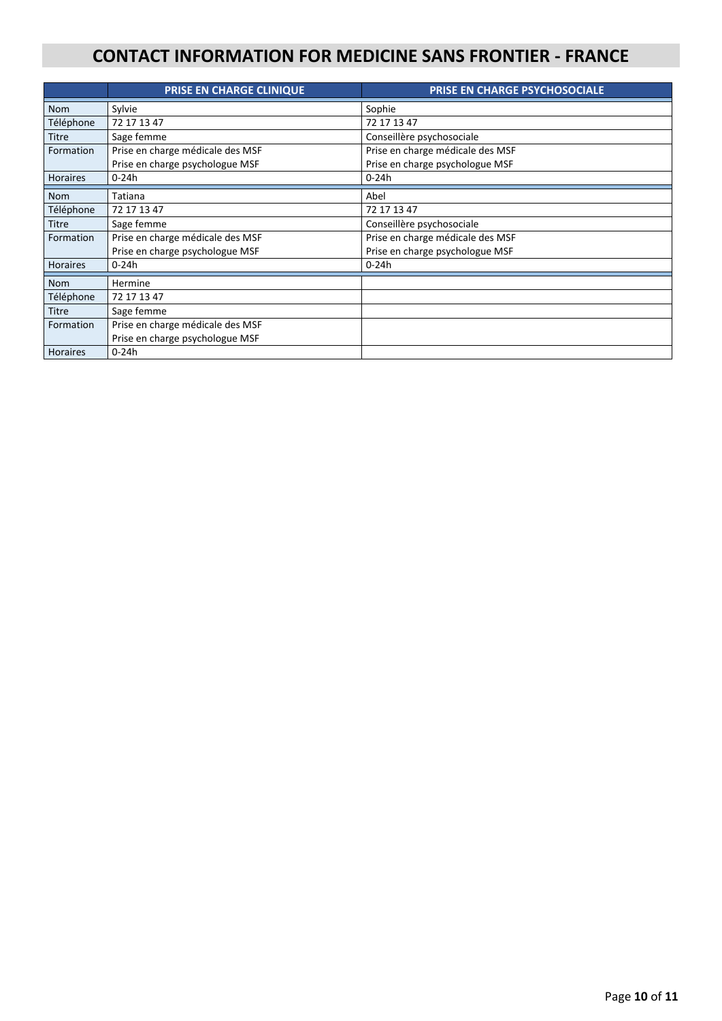## **CONTACT INFORMATION FOR MEDICINE SANS FRONTIER - FRANCE**

|                 | <b>PRISE EN CHARGE CLINIQUE</b>  | <b>PRISE EN CHARGE PSYCHOSOCIALE</b> |  |  |  |
|-----------------|----------------------------------|--------------------------------------|--|--|--|
| <b>Nom</b>      | Sylvie                           | Sophie                               |  |  |  |
| Téléphone       | 72 17 13 47                      | 72 17 13 47                          |  |  |  |
| <b>Titre</b>    | Sage femme                       | Conseillère psychosociale            |  |  |  |
| Formation       | Prise en charge médicale des MSF | Prise en charge médicale des MSF     |  |  |  |
|                 | Prise en charge psychologue MSF  | Prise en charge psychologue MSF      |  |  |  |
| <b>Horaires</b> | $0 - 24h$<br>0-24h               |                                      |  |  |  |
| <b>Nom</b>      | Tatiana                          | Abel                                 |  |  |  |
| Téléphone       | 72 17 13 47<br>72 17 13 47       |                                      |  |  |  |
| <b>Titre</b>    | Sage femme                       | Conseillère psychosociale            |  |  |  |
| Formation       | Prise en charge médicale des MSF | Prise en charge médicale des MSF     |  |  |  |
|                 | Prise en charge psychologue MSF  | Prise en charge psychologue MSF      |  |  |  |
| <b>Horaires</b> | $0 - 24h$<br>0-24h               |                                      |  |  |  |
| <b>Nom</b>      | Hermine                          |                                      |  |  |  |
| Téléphone       | 72 17 13 47                      |                                      |  |  |  |
| <b>Titre</b>    | Sage femme                       |                                      |  |  |  |
| Formation       | Prise en charge médicale des MSF |                                      |  |  |  |
|                 | Prise en charge psychologue MSF  |                                      |  |  |  |
| <b>Horaires</b> | $0 - 24h$                        |                                      |  |  |  |